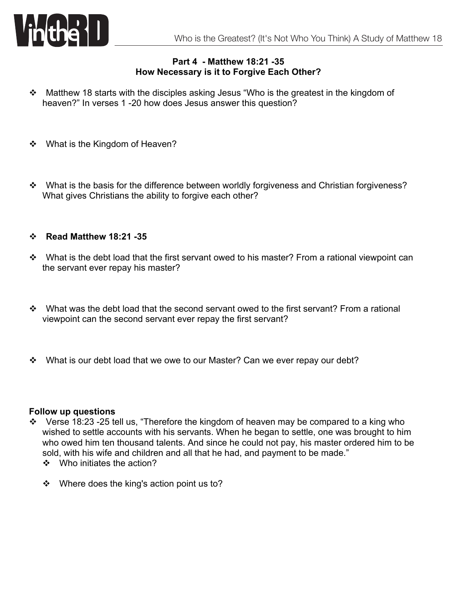

## **Part 4 - Matthew 18:21 -35 How Necessary is it to Forgive Each Other?**

- \* Matthew 18 starts with the disciples asking Jesus "Who is the greatest in the kingdom of heaven?" In verses 1 -20 how does Jesus answer this question?
- What is the Kingdom of Heaven?
- \* What is the basis for the difference between worldly forgiveness and Christian forgiveness? What gives Christians the ability to forgive each other?

## v **Read Matthew 18:21 -35**

- \* What is the debt load that the first servant owed to his master? From a rational viewpoint can the servant ever repay his master?
- $\div$  What was the debt load that the second servant owed to the first servant? From a rational viewpoint can the second servant ever repay the first servant?
- **EX+** What is our debt load that we owe to our Master? Can we ever repay our debt?

## **Follow up questions**

- $\cdot$  Verse 18:23 -25 tell us, "Therefore the kingdom of heaven may be compared to a king who wished to settle accounts with his servants. When he began to settle, one was brought to him who owed him ten thousand talents. And since he could not pay, his master ordered him to be sold, with his wife and children and all that he had, and payment to be made."
	- $\div$  Who initiates the action?
	- $\cdot$  Where does the king's action point us to?